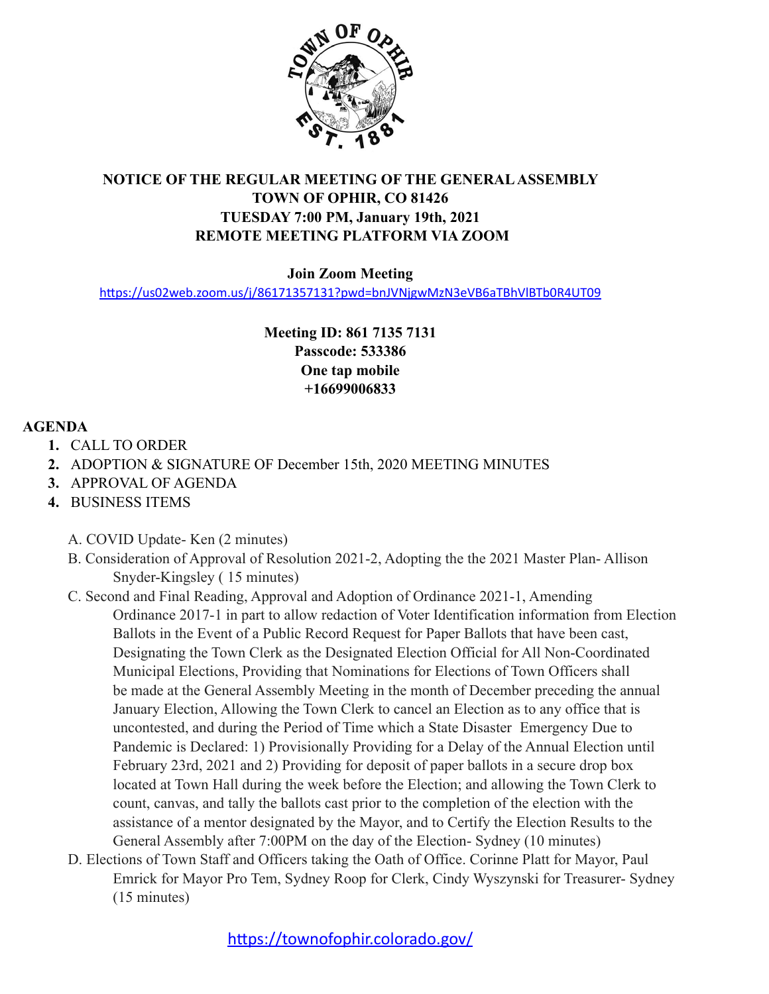

## **NOTICE OF THE REGULAR MEETING OF THE GENERAL ASSEMBLY TOWN OF OPHIR, CO 81426 TUESDAY 7:00 PM, January 19th, 2021 REMOTE MEETING PLATFORM VIA ZOOM**

**Join Zoom Meeting** 

[h"ps://us02web.zoom.us/j/86171357131?pwd=bnJVNjgwMzN3eVB6aTBhVlBTb0R4UT09](https://us02web.zoom.us/j/86171357131?pwd=bnJVNjgwMzN3eVB6aTBhVlBTb0R4UT09)

**Meeting ID: 861 7135 7131 Passcode: 533386 One tap mobile +16699006833** 

## **AGENDA**

- **1.** CALL TO ORDER
- **2.** ADOPTION & SIGNATURE OF December 15th, 2020 MEETING MINUTES
- **3.** APPROVAL OF AGENDA
- **4.** BUSINESS ITEMS
	- A. COVID Update- Ken (2 minutes)
	- B. Consideration of Approval of Resolution 2021-2, Adopting the the 2021 Master Plan- Allison Snyder-Kingsley ( 15 minutes)
	- C. Second and Final Reading, Approval and Adoption of Ordinance 2021-1, Amending Ordinance 2017-1 in part to allow redaction of Voter Identification information from Election Ballots in the Event of a Public Record Request for Paper Ballots that have been cast, Designating the Town Clerk as the Designated Election Official for All Non-Coordinated Municipal Elections, Providing that Nominations for Elections of Town Officers shall be made at the General Assembly Meeting in the month of December preceding the annual January Election, Allowing the Town Clerk to cancel an Election as to any office that is uncontested, and during the Period of Time which a State Disaster Emergency Due to Pandemic is Declared: 1) Provisionally Providing for a Delay of the Annual Election until February 23rd, 2021 and 2) Providing for deposit of paper ballots in a secure drop box located at Town Hall during the week before the Election; and allowing the Town Clerk to count, canvas, and tally the ballots cast prior to the completion of the election with the assistance of a mentor designated by the Mayor, and to Certify the Election Results to the General Assembly after 7:00PM on the day of the Election- Sydney (10 minutes)
	- D. Elections of Town Staff and Officers taking the Oath of Office. Corinne Platt for Mayor, Paul Emrick for Mayor Pro Tem, Sydney Roop for Clerk, Cindy Wyszynski for Treasurer- Sydney (15 minutes)